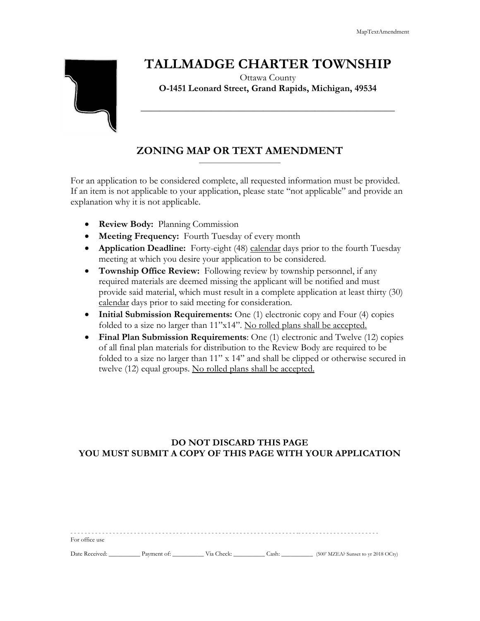# **TALLMADGE CHARTER TOWNSHIP**

Ottawa County **O-1451 Leonard Street, Grand Rapids, Michigan, 49534**

**\_\_\_\_\_\_\_\_\_\_\_\_\_\_\_\_\_\_\_\_\_\_\_\_\_\_\_\_\_\_\_\_\_\_\_\_\_\_\_\_\_\_\_\_\_\_\_\_\_\_\_\_\_\_**

## **ZONING MAP OR TEXT AMENDMENT** \_\_\_\_\_\_\_\_\_\_\_\_\_\_\_\_\_\_\_\_\_\_\_\_\_\_

For an application to be considered complete, all requested information must be provided. If an item is not applicable to your application, please state "not applicable" and provide an explanation why it is not applicable.

- **Review Body:** Planning Commission
- **Meeting Frequency:** Fourth Tuesday of every month
- **Application Deadline:** Forty-eight (48) calendar days prior to the fourth Tuesday meeting at which you desire your application to be considered.
- **Township Office Review:** Following review by township personnel, if any required materials are deemed missing the applicant will be notified and must provide said material, which must result in a complete application at least thirty (30) calendar days prior to said meeting for consideration.
- **Initial Submission Requirements:** One (1) electronic copy and Four (4) copies folded to a size no larger than 11"x14". No rolled plans shall be accepted.
- **Final Plan Submission Requirements**: One (1) electronic and Twelve (12) copies of all final plan materials for distribution to the Review Body are required to be folded to a size no larger than 11" x 14" and shall be clipped or otherwise secured in twelve (12) equal groups. No rolled plans shall be accepted.

## **DO NOT DISCARD THIS PAGE YOU MUST SUBMIT A COPY OF THIS PAGE WITH YOUR APPLICATION**

| For office use |             |            |       |                                     |
|----------------|-------------|------------|-------|-------------------------------------|
| Date Received: | Payment of: | Via Check: | Cash: | (500' MZEA? Sunset to yr 2018 OCty) |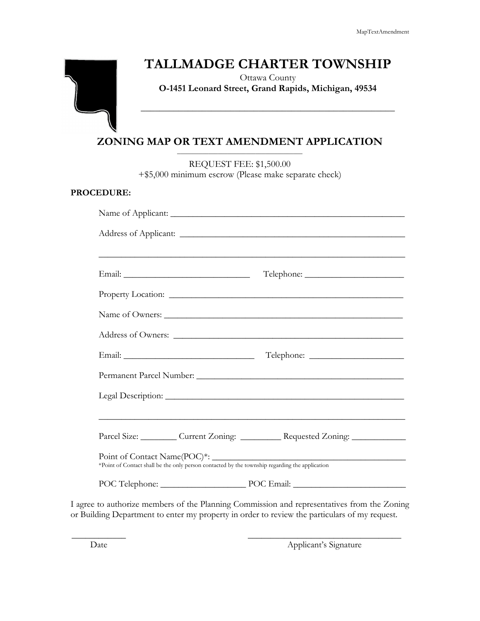## **TALLMADGE CHARTER TOWNSHIP**

Ottawa County **O-1451 Leonard Street, Grand Rapids, Michigan, 49534**

**\_\_\_\_\_\_\_\_\_\_\_\_\_\_\_\_\_\_\_\_\_\_\_\_\_\_\_\_\_\_\_\_\_\_\_\_\_\_\_\_\_\_\_\_\_\_\_\_\_\_\_\_\_\_**

### **ZONING MAP OR TEXT AMENDMENT APPLICATION** \_\_\_\_\_\_\_\_\_\_\_\_\_\_\_\_\_\_\_\_\_\_\_\_\_\_\_\_\_\_\_\_\_\_\_\_\_\_\_\_

REQUEST FEE: \$1,500.00 +\$5,000 minimum escrow (Please make separate check)

#### **PROCEDURE:**

|                                                                                                | <u> 1989 - Johann John Stone, Amerikaansk politiker (* 1989)</u> |  |  |
|------------------------------------------------------------------------------------------------|------------------------------------------------------------------|--|--|
|                                                                                                | Parcel Size: Current Zoning: Requested Zoning:                   |  |  |
|                                                                                                | <u> 1989 - Johann John Stein, fransk politik (d. 1989)</u>       |  |  |
| *Point of Contact shall be the only person contacted by the township regarding the application | POC Telephone: POC Email: POC Email:                             |  |  |

I agree to authorize members of the Planning Commission and representatives from the Zoning or Building Department to enter my property in order to review the particulars of my request.

 $\overline{\phantom{a}}$  , and the contract of the contract of the contract of the contract of the contract of the contract of the contract of the contract of the contract of the contract of the contract of the contract of the contrac

Date Applicant's Signature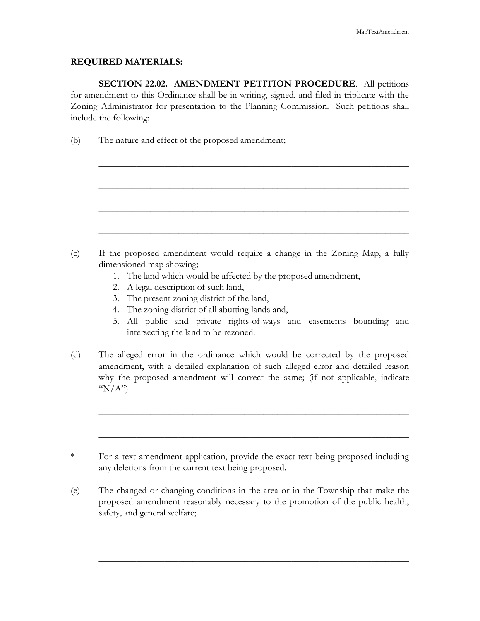## **REQUIRED MATERIALS:**

**SECTION 22.02. AMENDMENT PETITION PROCEDURE**. All petitions for amendment to this Ordinance shall be in writing, signed, and filed in triplicate with the Zoning Administrator for presentation to the Planning Commission. Such petitions shall include the following:

\_\_\_\_\_\_\_\_\_\_\_\_\_\_\_\_\_\_\_\_\_\_\_\_\_\_\_\_\_\_\_\_\_\_\_\_\_\_\_\_\_\_\_\_\_\_\_\_\_\_\_\_\_\_\_\_\_\_\_\_\_\_\_\_\_\_

\_\_\_\_\_\_\_\_\_\_\_\_\_\_\_\_\_\_\_\_\_\_\_\_\_\_\_\_\_\_\_\_\_\_\_\_\_\_\_\_\_\_\_\_\_\_\_\_\_\_\_\_\_\_\_\_\_\_\_\_\_\_\_\_\_\_

\_\_\_\_\_\_\_\_\_\_\_\_\_\_\_\_\_\_\_\_\_\_\_\_\_\_\_\_\_\_\_\_\_\_\_\_\_\_\_\_\_\_\_\_\_\_\_\_\_\_\_\_\_\_\_\_\_\_\_\_\_\_\_\_\_\_

\_\_\_\_\_\_\_\_\_\_\_\_\_\_\_\_\_\_\_\_\_\_\_\_\_\_\_\_\_\_\_\_\_\_\_\_\_\_\_\_\_\_\_\_\_\_\_\_\_\_\_\_\_\_\_\_\_\_\_\_\_\_\_\_\_\_

(b) The nature and effect of the proposed amendment;

- (c) If the proposed amendment would require a change in the Zoning Map, a fully dimensioned map showing;
	- 1. The land which would be affected by the proposed amendment,
	- 2. A legal description of such land,
	- 3. The present zoning district of the land,
	- 4. The zoning district of all abutting lands and,
	- 5. All public and private rights-of-ways and easements bounding and intersecting the land to be rezoned.
- (d) The alleged error in the ordinance which would be corrected by the proposed amendment, with a detailed explanation of such alleged error and detailed reason why the proposed amendment will correct the same; (if not applicable, indicate " $N/A$ ")

\_\_\_\_\_\_\_\_\_\_\_\_\_\_\_\_\_\_\_\_\_\_\_\_\_\_\_\_\_\_\_\_\_\_\_\_\_\_\_\_\_\_\_\_\_\_\_\_\_\_\_\_\_\_\_\_\_\_\_\_\_\_\_\_\_\_

\_\_\_\_\_\_\_\_\_\_\_\_\_\_\_\_\_\_\_\_\_\_\_\_\_\_\_\_\_\_\_\_\_\_\_\_\_\_\_\_\_\_\_\_\_\_\_\_\_\_\_\_\_\_\_\_\_\_\_\_\_\_\_\_\_\_

(e) The changed or changing conditions in the area or in the Township that make the proposed amendment reasonably necessary to the promotion of the public health, safety, and general welfare;

\_\_\_\_\_\_\_\_\_\_\_\_\_\_\_\_\_\_\_\_\_\_\_\_\_\_\_\_\_\_\_\_\_\_\_\_\_\_\_\_\_\_\_\_\_\_\_\_\_\_\_\_\_\_\_\_\_\_\_\_\_\_\_\_\_\_

\_\_\_\_\_\_\_\_\_\_\_\_\_\_\_\_\_\_\_\_\_\_\_\_\_\_\_\_\_\_\_\_\_\_\_\_\_\_\_\_\_\_\_\_\_\_\_\_\_\_\_\_\_\_\_\_\_\_\_\_\_\_\_\_\_\_

<sup>\*</sup> For a text amendment application, provide the exact text being proposed including any deletions from the current text being proposed.